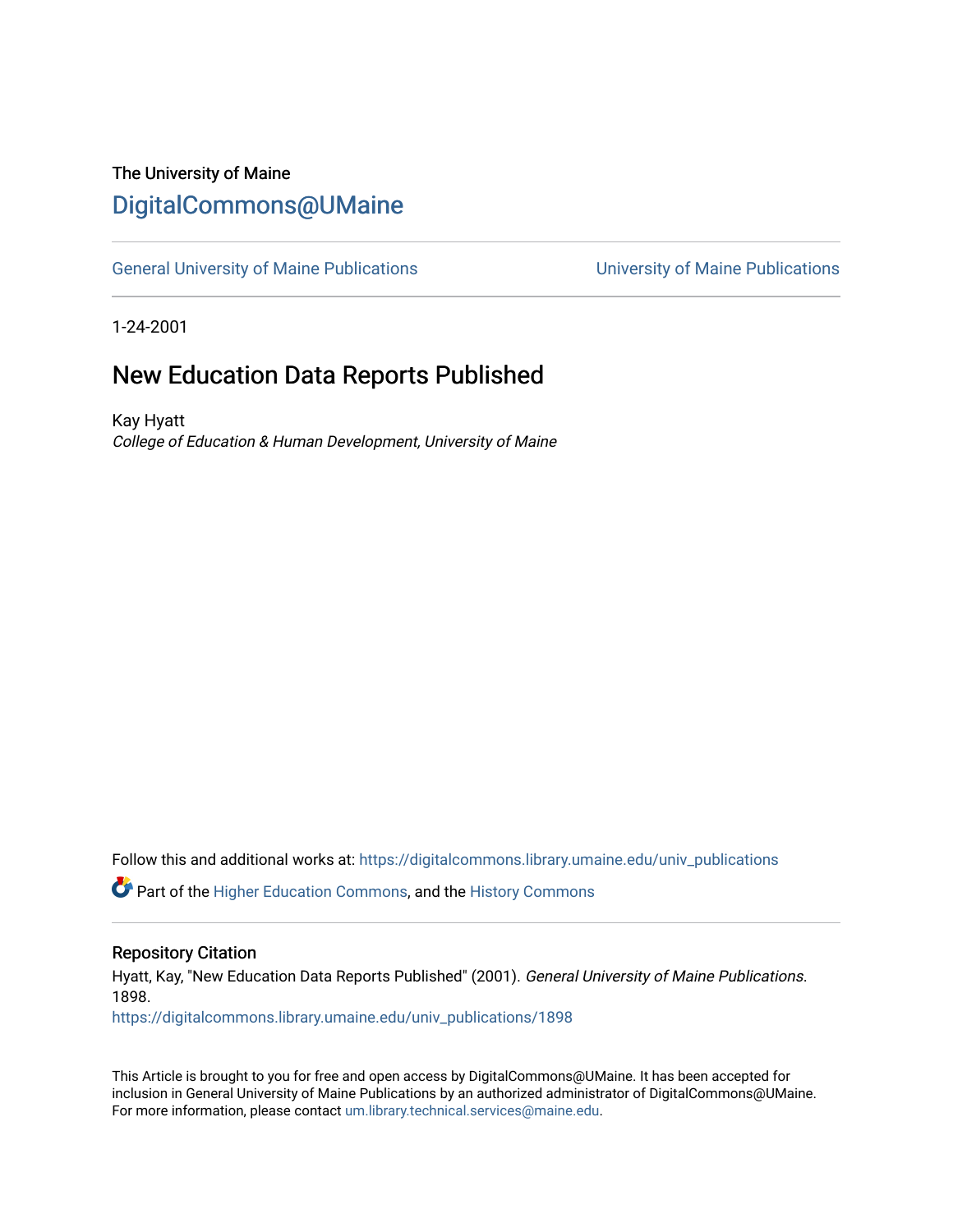### The University of Maine [DigitalCommons@UMaine](https://digitalcommons.library.umaine.edu/)

[General University of Maine Publications](https://digitalcommons.library.umaine.edu/univ_publications) [University of Maine Publications](https://digitalcommons.library.umaine.edu/umaine_publications) 

1-24-2001

### New Education Data Reports Published

Kay Hyatt College of Education & Human Development, University of Maine

Follow this and additional works at: [https://digitalcommons.library.umaine.edu/univ\\_publications](https://digitalcommons.library.umaine.edu/univ_publications?utm_source=digitalcommons.library.umaine.edu%2Funiv_publications%2F1898&utm_medium=PDF&utm_campaign=PDFCoverPages) 

Part of the [Higher Education Commons,](http://network.bepress.com/hgg/discipline/1245?utm_source=digitalcommons.library.umaine.edu%2Funiv_publications%2F1898&utm_medium=PDF&utm_campaign=PDFCoverPages) and the [History Commons](http://network.bepress.com/hgg/discipline/489?utm_source=digitalcommons.library.umaine.edu%2Funiv_publications%2F1898&utm_medium=PDF&utm_campaign=PDFCoverPages)

#### Repository Citation

Hyatt, Kay, "New Education Data Reports Published" (2001). General University of Maine Publications. 1898.

[https://digitalcommons.library.umaine.edu/univ\\_publications/1898](https://digitalcommons.library.umaine.edu/univ_publications/1898?utm_source=digitalcommons.library.umaine.edu%2Funiv_publications%2F1898&utm_medium=PDF&utm_campaign=PDFCoverPages)

This Article is brought to you for free and open access by DigitalCommons@UMaine. It has been accepted for inclusion in General University of Maine Publications by an authorized administrator of DigitalCommons@UMaine. For more information, please contact [um.library.technical.services@maine.edu](mailto:um.library.technical.services@maine.edu).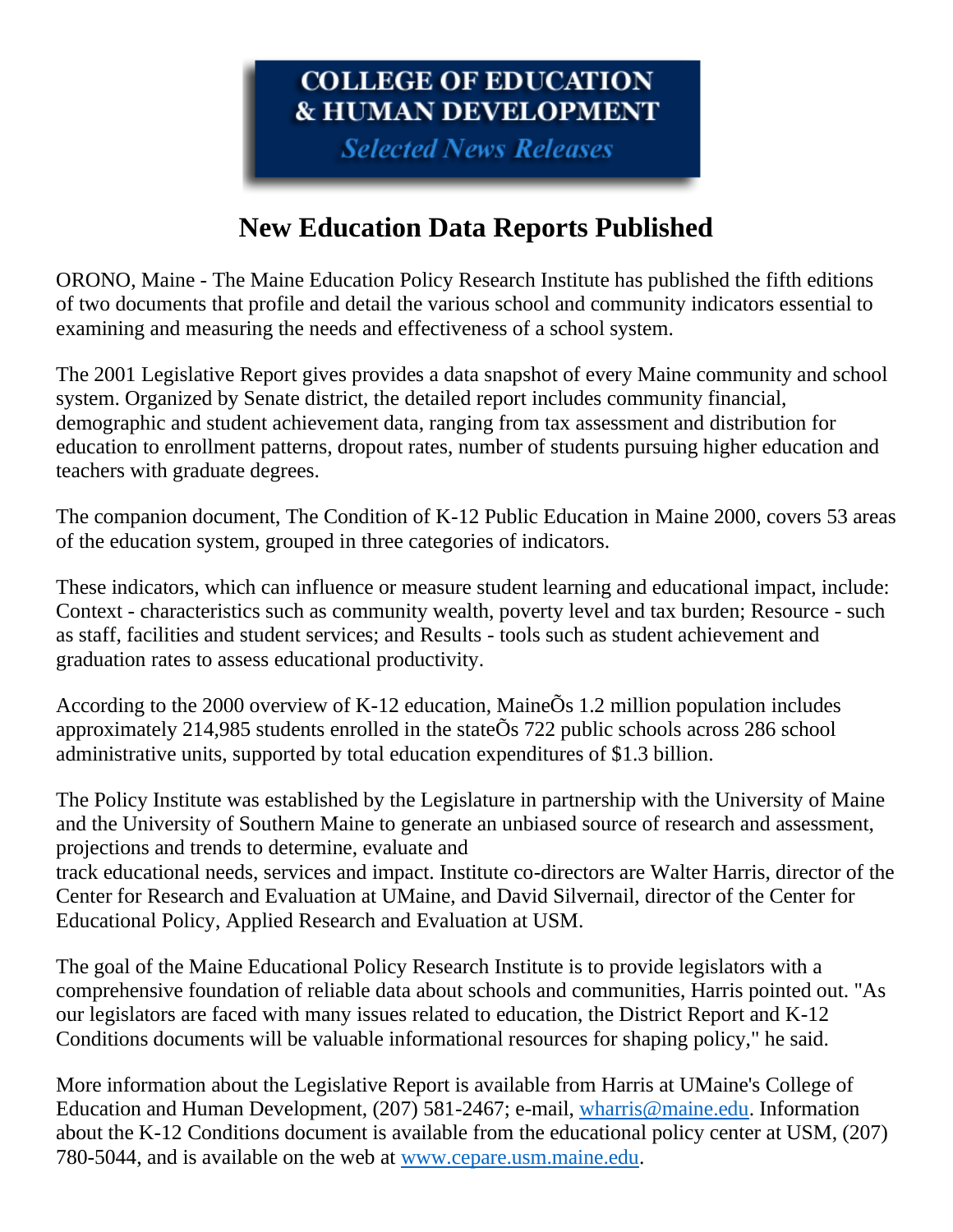# **COLLEGE OF EDUCATION**  $\&$  HUMAN DEVELOPMENT

**Selected News Releases** 

# **New Education Data Reports Published**

ORONO, Maine - The Maine Education Policy Research Institute has published the fifth editions of two documents that profile and detail the various school and community indicators essential to examining and measuring the needs and effectiveness of a school system.

The 2001 Legislative Report gives provides a data snapshot of every Maine community and school system. Organized by Senate district, the detailed report includes community financial, demographic and student achievement data, ranging from tax assessment and distribution for education to enrollment patterns, dropout rates, number of students pursuing higher education and teachers with graduate degrees.

The companion document, The Condition of K-12 Public Education in Maine 2000, covers 53 areas of the education system, grouped in three categories of indicators.

These indicators, which can influence or measure student learning and educational impact, include: Context - characteristics such as community wealth, poverty level and tax burden; Resource - such as staff, facilities and student services; and Results - tools such as student achievement and graduation rates to assess educational productivity.

According to the 2000 overview of K-12 education, MaineÕs 1.2 million population includes approximately 214,985 students enrolled in the stateÕs 722 public schools across 286 school administrative units, supported by total education expenditures of \$1.3 billion.

The Policy Institute was established by the Legislature in partnership with the University of Maine and the University of Southern Maine to generate an unbiased source of research and assessment, projections and trends to determine, evaluate and

track educational needs, services and impact. Institute co-directors are Walter Harris, director of the Center for Research and Evaluation at UMaine, and David Silvernail, director of the Center for Educational Policy, Applied Research and Evaluation at USM.

The goal of the Maine Educational Policy Research Institute is to provide legislators with a comprehensive foundation of reliable data about schools and communities, Harris pointed out. "As our legislators are faced with many issues related to education, the District Report and K-12 Conditions documents will be valuable informational resources for shaping policy," he said.

More information about the Legislative Report is available from Harris at UMaine's College of Education and Human Development, (207) 581-2467; e-mail, [wharris@maine.edu.](https://web.archive.org/web/20010425052220/mailto:wharris@maine.edu) Information about the K-12 Conditions document is available from the educational policy center at USM, (207) 780-5044, and is available on the web at [www.cepare.usm.maine.edu.](https://web.archive.org/web/20010425052220/http:/www.cepare.usm.maine.edu/)